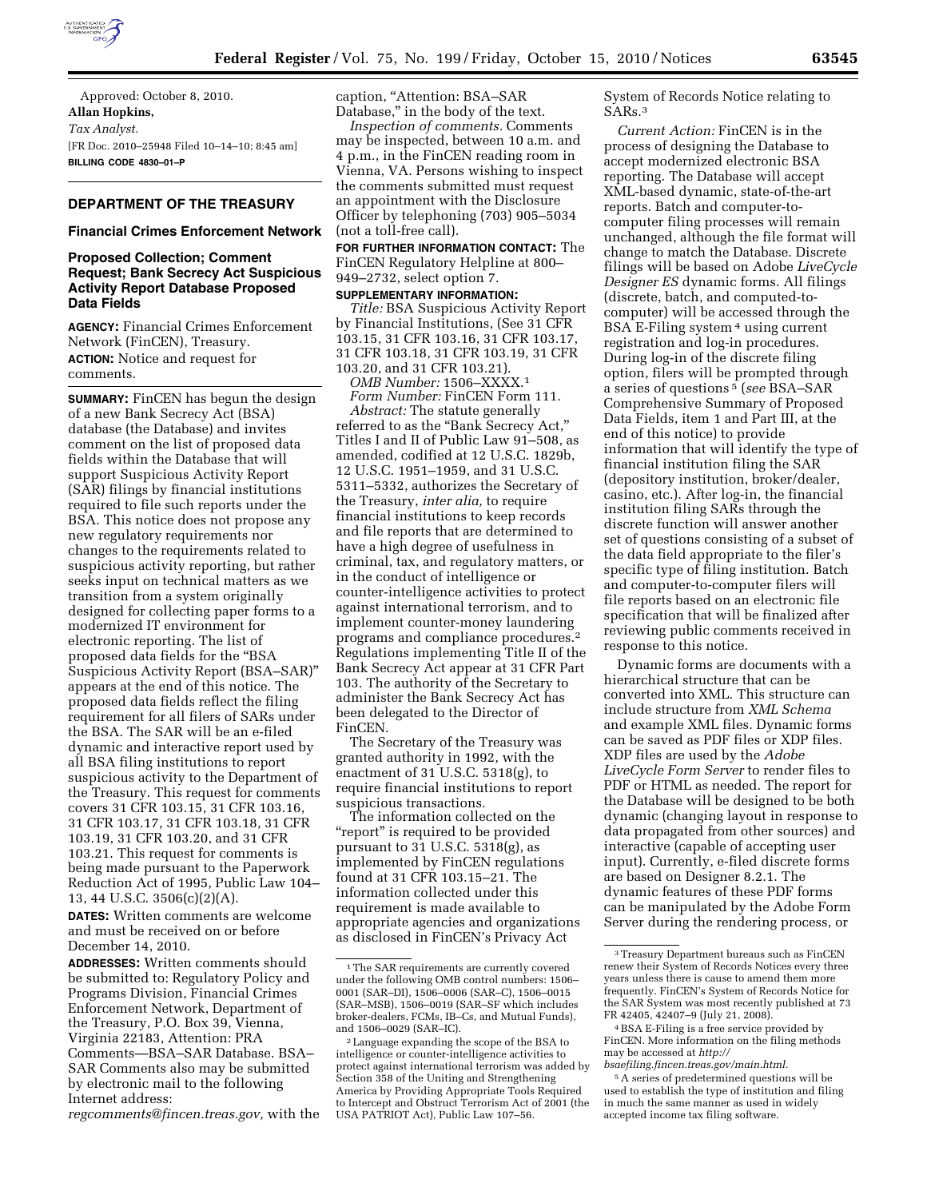

Approved: October 8, 2010. **Allan Hopkins,**  *Tax Analyst.*  [FR Doc. 2010–25948 Filed 10–14–10; 8:45 am] **BILLING CODE 4830–01–P** 

## **DEPARTMENT OF THE TREASURY**

#### **Financial Crimes Enforcement Network**

### **Proposed Collection; Comment Request; Bank Secrecy Act Suspicious Activity Report Database Proposed Data Fields**

**AGENCY:** Financial Crimes Enforcement Network (FinCEN), Treasury. **ACTION:** Notice and request for comments.

**SUMMARY:** FinCEN has begun the design of a new Bank Secrecy Act (BSA) database (the Database) and invites comment on the list of proposed data fields within the Database that will support Suspicious Activity Report (SAR) filings by financial institutions required to file such reports under the BSA. This notice does not propose any new regulatory requirements nor changes to the requirements related to suspicious activity reporting, but rather seeks input on technical matters as we transition from a system originally designed for collecting paper forms to a modernized IT environment for electronic reporting. The list of proposed data fields for the ''BSA Suspicious Activity Report (BSA–SAR)'' appears at the end of this notice. The proposed data fields reflect the filing requirement for all filers of SARs under the BSA. The SAR will be an e-filed dynamic and interactive report used by all BSA filing institutions to report suspicious activity to the Department of the Treasury. This request for comments covers 31 CFR 103.15, 31 CFR 103.16, 31 CFR 103.17, 31 CFR 103.18, 31 CFR 103.19, 31 CFR 103.20, and 31 CFR 103.21. This request for comments is being made pursuant to the Paperwork Reduction Act of 1995, Public Law 104– 13, 44 U.S.C. 3506(c)(2)(A).

**DATES:** Written comments are welcome and must be received on or before December 14, 2010.

**ADDRESSES:** Written comments should be submitted to: Regulatory Policy and Programs Division, Financial Crimes Enforcement Network, Department of the Treasury, P.O. Box 39, Vienna, Virginia 22183, Attention: PRA Comments—BSA–SAR Database. BSA– SAR Comments also may be submitted by electronic mail to the following Internet address:

*[regcomments@fincen.treas.gov,](mailto:regcomments@fincen.treas.gov)* with the

caption, ''Attention: BSA–SAR Database," in the body of the text.

*Inspection of comments.* Comments may be inspected, between 10 a.m. and 4 p.m., in the FinCEN reading room in Vienna, VA. Persons wishing to inspect the comments submitted must request an appointment with the Disclosure Officer by telephoning (703) 905–5034 (not a toll-free call).

**FOR FURTHER INFORMATION CONTACT:** The FinCEN Regulatory Helpline at 800– 949–2732, select option 7.

# **SUPPLEMENTARY INFORMATION:**

*Title:* BSA Suspicious Activity Report by Financial Institutions, (See 31 CFR 103.15, 31 CFR 103.16, 31 CFR 103.17, 31 CFR 103.18, 31 CFR 103.19, 31 CFR 103.20, and 31 CFR 103.21).

*OMB Number:* 1506–XXXX.1

*Form Number:* FinCEN Form 111.

*Abstract:* The statute generally referred to as the "Bank Secrecy Act," Titles I and II of Public Law 91–508, as amended, codified at 12 U.S.C. 1829b, 12 U.S.C. 1951–1959, and 31 U.S.C. 5311–5332, authorizes the Secretary of the Treasury, *inter alia,* to require financial institutions to keep records and file reports that are determined to have a high degree of usefulness in criminal, tax, and regulatory matters, or in the conduct of intelligence or counter-intelligence activities to protect against international terrorism, and to implement counter-money laundering programs and compliance procedures.2 Regulations implementing Title II of the Bank Secrecy Act appear at 31 CFR Part 103. The authority of the Secretary to administer the Bank Secrecy Act has been delegated to the Director of FinCEN.

The Secretary of the Treasury was granted authority in 1992, with the enactment of 31 U.S.C. 5318(g), to require financial institutions to report suspicious transactions.

The information collected on the "report" is required to be provided pursuant to 31 U.S.C. 5318(g), as implemented by FinCEN regulations found at 31 CFR 103.15–21. The information collected under this requirement is made available to appropriate agencies and organizations as disclosed in FinCEN's Privacy Act

System of Records Notice relating to SARs.3

*Current Action:* FinCEN is in the process of designing the Database to accept modernized electronic BSA reporting. The Database will accept XML-based dynamic, state-of-the-art reports. Batch and computer-tocomputer filing processes will remain unchanged, although the file format will change to match the Database. Discrete filings will be based on Adobe *LiveCycle Designer ES* dynamic forms. All filings (discrete, batch, and computed-tocomputer) will be accessed through the BSA E-Filing system 4 using current registration and log-in procedures. During log-in of the discrete filing option, filers will be prompted through a series of questions 5 (*see* BSA–SAR Comprehensive Summary of Proposed Data Fields, item 1 and Part III, at the end of this notice) to provide information that will identify the type of financial institution filing the SAR (depository institution, broker/dealer, casino, etc.). After log-in, the financial institution filing SARs through the discrete function will answer another set of questions consisting of a subset of the data field appropriate to the filer's specific type of filing institution. Batch and computer-to-computer filers will file reports based on an electronic file specification that will be finalized after reviewing public comments received in response to this notice.

Dynamic forms are documents with a hierarchical structure that can be converted into XML. This structure can include structure from *XML Schema*  and example XML files. Dynamic forms can be saved as PDF files or XDP files. XDP files are used by the *Adobe LiveCycle Form Server* to render files to PDF or HTML as needed. The report for the Database will be designed to be both dynamic (changing layout in response to data propagated from other sources) and interactive (capable of accepting user input). Currently, e-filed discrete forms are based on Designer 8.2.1. The dynamic features of these PDF forms can be manipulated by the Adobe Form Server during the rendering process, or

<sup>&</sup>lt;sup>1</sup>The SAR requirements are currently covered under the following OMB control numbers: 1506– 0001 (SAR–DI), 1506–0006 (SAR–C), 1506–0015 (SAR–MSB), 1506–0019 (SAR–SF which includes broker-dealers, FCMs, IB–Cs, and Mutual Funds), and 1506–0029 (SAR–IC).

<sup>2</sup>Language expanding the scope of the BSA to intelligence or counter-intelligence activities to protect against international terrorism was added by Section 358 of the Uniting and Strengthening America by Providing Appropriate Tools Required to Intercept and Obstruct Terrorism Act of 2001 (the USA PATRIOT Act), Public Law 107–56.

<sup>3</sup>Treasury Department bureaus such as FinCEN renew their System of Records Notices every three years unless there is cause to amend them more frequently. FinCEN's System of Records Notice for the SAR System was most recently published at 73 FR 42405, 42407–9 (July 21, 2008).

<sup>4</sup>BSA E-Filing is a free service provided by FinCEN. More information on the filing methods may be accessed at *[http://](http://bsaefiling.fincen.treas.gov/main.html)* 

*[bsaefiling.fincen.treas.gov/main.html.](http://bsaefiling.fincen.treas.gov/main.html)* 

<sup>5</sup>A series of predetermined questions will be used to establish the type of institution and filing in much the same manner as used in widely accepted income tax filing software.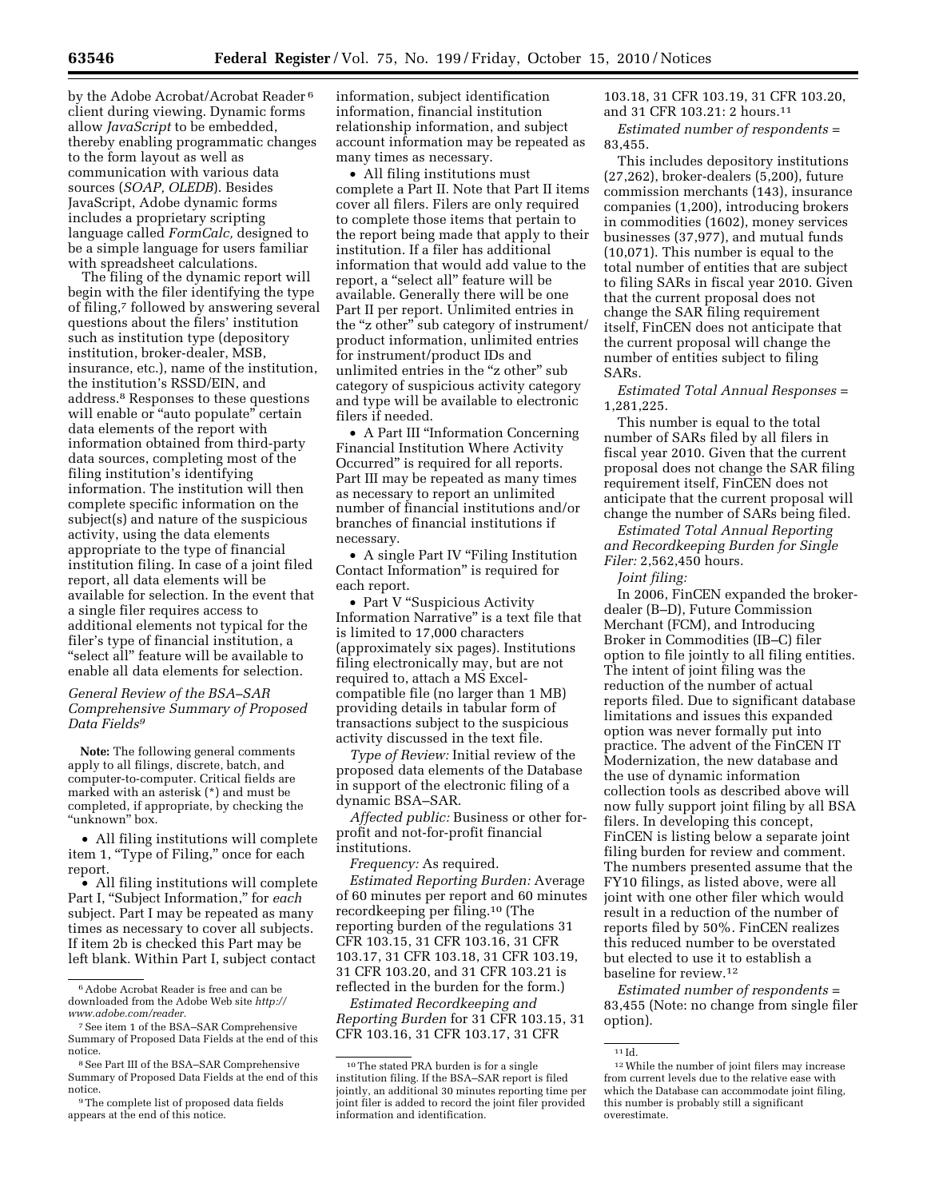by the Adobe Acrobat/Acrobat Reader 6 client during viewing. Dynamic forms allow *JavaScript* to be embedded, thereby enabling programmatic changes to the form layout as well as communication with various data sources (*SOAP, OLEDB*). Besides JavaScript, Adobe dynamic forms includes a proprietary scripting language called *FormCalc,* designed to be a simple language for users familiar with spreadsheet calculations.

The filing of the dynamic report will begin with the filer identifying the type of filing,7 followed by answering several questions about the filers' institution such as institution type (depository institution, broker-dealer, MSB, insurance, etc.), name of the institution, the institution's RSSD/EIN, and address.8 Responses to these questions will enable or "auto populate" certain data elements of the report with information obtained from third-party data sources, completing most of the filing institution's identifying information. The institution will then complete specific information on the subject(s) and nature of the suspicious activity, using the data elements appropriate to the type of financial institution filing. In case of a joint filed report, all data elements will be available for selection. In the event that a single filer requires access to additional elements not typical for the filer's type of financial institution, a ''select all'' feature will be available to enable all data elements for selection.

### *General Review of the BSA–SAR Comprehensive Summary of Proposed Data Fields9*

**Note:** The following general comments apply to all filings, discrete, batch, and computer-to-computer. Critical fields are marked with an asterisk (\*) and must be completed, if appropriate, by checking the "unknown" box.

• All filing institutions will complete item 1, "Type of Filing," once for each report.

• All filing institutions will complete Part I, "Subject Information," for each subject. Part I may be repeated as many times as necessary to cover all subjects. If item 2b is checked this Part may be left blank. Within Part I, subject contact

information, subject identification information, financial institution relationship information, and subject account information may be repeated as many times as necessary.

• All filing institutions must complete a Part II. Note that Part II items cover all filers. Filers are only required to complete those items that pertain to the report being made that apply to their institution. If a filer has additional information that would add value to the report, a ''select all'' feature will be available. Generally there will be one Part II per report. Unlimited entries in the "z other" sub category of instrument/ product information, unlimited entries for instrument/product IDs and unlimited entries in the "z other" sub category of suspicious activity category and type will be available to electronic filers if needed.

• A Part III ''Information Concerning Financial Institution Where Activity Occurred'' is required for all reports. Part III may be repeated as many times as necessary to report an unlimited number of financial institutions and/or branches of financial institutions if necessary.

• A single Part IV "Filing Institution Contact Information'' is required for each report.

• Part V "Suspicious Activity" Information Narrative'' is a text file that is limited to 17,000 characters (approximately six pages). Institutions filing electronically may, but are not required to, attach a MS Excelcompatible file (no larger than 1 MB) providing details in tabular form of transactions subject to the suspicious activity discussed in the text file.

*Type of Review:* Initial review of the proposed data elements of the Database in support of the electronic filing of a dynamic BSA–SAR.

*Affected public:* Business or other forprofit and not-for-profit financial institutions.

*Frequency:* As required.

*Estimated Reporting Burden:* Average of 60 minutes per report and 60 minutes recordkeeping per filing.10 (The reporting burden of the regulations 31 CFR 103.15, 31 CFR 103.16, 31 CFR 103.17, 31 CFR 103.18, 31 CFR 103.19, 31 CFR 103.20, and 31 CFR 103.21 is reflected in the burden for the form.)

*Estimated Recordkeeping and Reporting Burden* for 31 CFR 103.15, 31 CFR 103.16, 31 CFR 103.17, 31 CFR

103.18, 31 CFR 103.19, 31 CFR 103.20, and 31 CFR 103.21: 2 hours.11

*Estimated number of respondents* = 83,455.

This includes depository institutions (27,262), broker-dealers (5,200), future commission merchants (143), insurance companies (1,200), introducing brokers in commodities (1602), money services businesses (37,977), and mutual funds (10,071). This number is equal to the total number of entities that are subject to filing SARs in fiscal year 2010. Given that the current proposal does not change the SAR filing requirement itself, FinCEN does not anticipate that the current proposal will change the number of entities subject to filing SARs.

*Estimated Total Annual Responses* = 1,281,225.

This number is equal to the total number of SARs filed by all filers in fiscal year 2010. Given that the current proposal does not change the SAR filing requirement itself, FinCEN does not anticipate that the current proposal will change the number of SARs being filed.

*Estimated Total Annual Reporting and Recordkeeping Burden for Single Filer:* 2,562,450 hours.

*Joint filing:* 

In 2006, FinCEN expanded the brokerdealer (B–D), Future Commission Merchant (FCM), and Introducing Broker in Commodities (IB–C) filer option to file jointly to all filing entities. The intent of joint filing was the reduction of the number of actual reports filed. Due to significant database limitations and issues this expanded option was never formally put into practice. The advent of the FinCEN IT Modernization, the new database and the use of dynamic information collection tools as described above will now fully support joint filing by all BSA filers. In developing this concept, FinCEN is listing below a separate joint filing burden for review and comment. The numbers presented assume that the FY10 filings, as listed above, were all joint with one other filer which would result in a reduction of the number of reports filed by 50%. FinCEN realizes this reduced number to be overstated but elected to use it to establish a baseline for review.12

*Estimated number of respondents* = 83,455 (Note: no change from single filer option).

<sup>6</sup>Adobe Acrobat Reader is free and can be downloaded from the Adobe Web site *[http://](http://www.adobe.com/reader) [www.adobe.com/reader.](http://www.adobe.com/reader)* 

<sup>7</sup>See item 1 of the BSA–SAR Comprehensive Summary of Proposed Data Fields at the end of this notice.

<sup>8</sup>See Part III of the BSA–SAR Comprehensive Summary of Proposed Data Fields at the end of this notice.

<sup>9</sup>The complete list of proposed data fields appears at the end of this notice.

<sup>10</sup>The stated PRA burden is for a single institution filing. If the BSA–SAR report is filed jointly, an additional 30 minutes reporting time per joint filer is added to record the joint filer provided information and identification.

 $\rm ^{11}Id.$ 

<sup>12</sup>While the number of joint filers may increase from current levels due to the relative ease with which the Database can accommodate joint filing, this number is probably still a significant overestimate.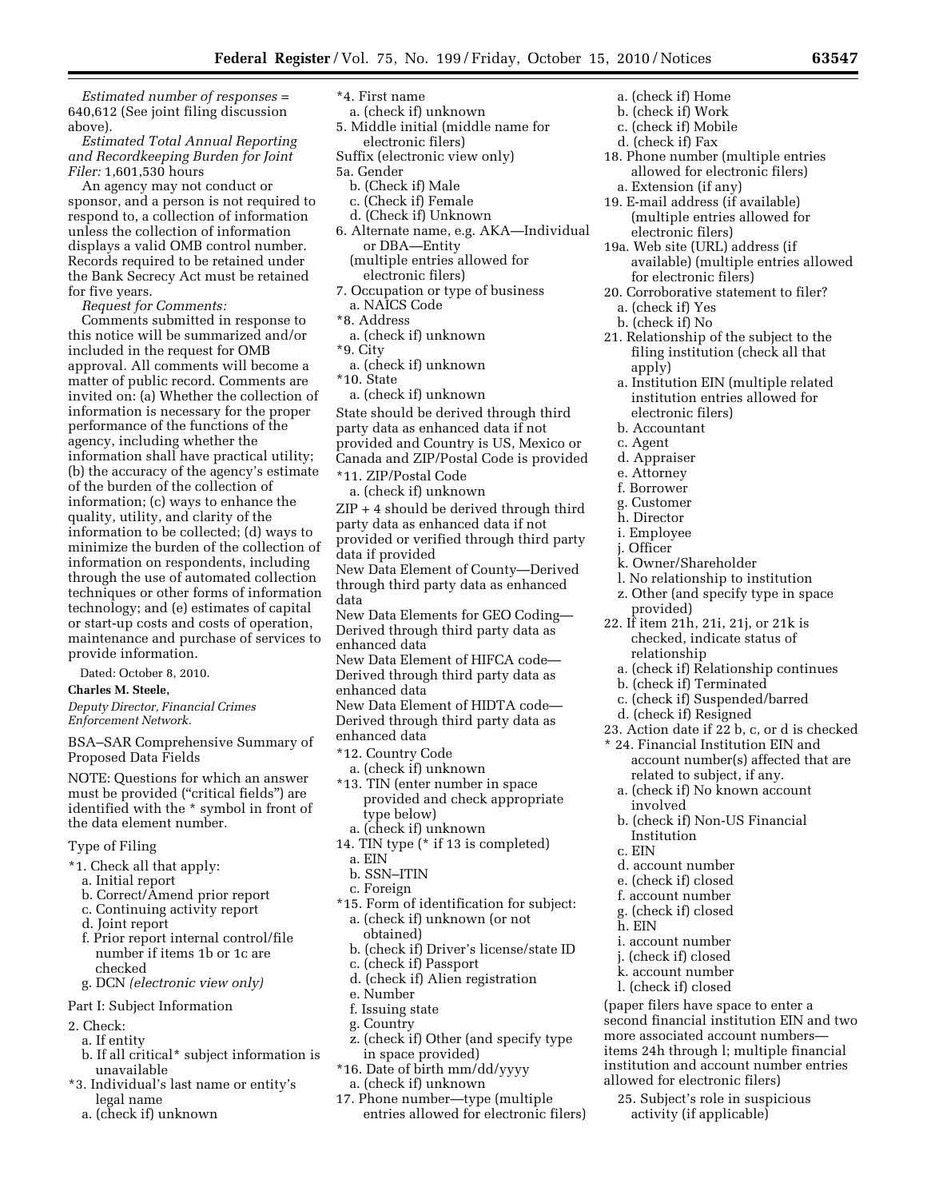*Estimated number of responses* = 640,612 (See joint filing discussion above).

*Estimated Total Annual Reporting and Recordkeeping Burden for Joint Filer:* 1,601,530 hours

An agency may not conduct or sponsor, and a person is not required to respond to, a collection of information unless the collection of information displays a valid OMB control number. Records required to be retained under the Bank Secrecy Act must be retained for five years.

*Request for Comments:* 

Comments submitted in response to this notice will be summarized and/or included in the request for OMB approval. All comments will become a matter of public record. Comments are invited on: (a) Whether the collection of information is necessary for the proper performance of the functions of the agency, including whether the information shall have practical utility; (b) the accuracy of the agency's estimate of the burden of the collection of information; (c) ways to enhance the quality, utility, and clarity of the information to be collected; (d) ways to minimize the burden of the collection of information on respondents, including through the use of automated collection techniques or other forms of information technology; and (e) estimates of capital or start-up costs and costs of operation, maintenance and purchase of services to provide information.

Dated: October 8, 2010.

**Charles M. Steele,** 

*Deputy Director, Financial Crimes Enforcement Network.* 

BSA–SAR Comprehensive Summary of Proposed Data Fields

NOTE: Questions for which an answer must be provided (''critical fields'') are identified with the \* symbol in front of the data element number.

### Type of Filing

- \*1. Check all that apply:
	- a. Initial report
	- b. Correct/Amend prior report
	- c. Continuing activity report
	- d. Joint report
	- f. Prior report internal control/file number if items 1b or 1c are checked
	- g. DCN *(electronic view only)*

## Part I: Subject Information

- 2. Check:
- a. If entity
- b. If all critical\* subject information is unavailable
- \*3. Individual's last name or entity's legal name
	- a. (check if) unknown
- \*4. First name
- a. (check if) unknown 5. Middle initial (middle name for
- electronic filers) Suffix (electronic view only)
- 5a. Gender
- b. (Check if) Male
- c. (Check if) Female
- d. (Check if) Unknown
- 6. Alternate name, e.g. AKA—Individual or DBA—Entity
	- (multiple entries allowed for electronic filers)
- 7. Occupation or type of business a. NAICS Code
- \*8. Address
- a. (check if) unknown
- \*9. City
- a. (check if) unknown
- \*10. State
- a. (check if) unknown State should be derived through third party data as enhanced data if not provided and Country is US, Mexico or Canada and ZIP/Postal Code is provided
- \*11. ZIP/Postal Code
- a. (check if) unknown
- ZIP + 4 should be derived through third party data as enhanced data if not provided or verified through third party data if provided
- New Data Element of County—Derived through third party data as enhanced data
- New Data Elements for GEO Coding— Derived through third party data as enhanced data
- New Data Element of HIFCA code— Derived through third party data as enhanced data

New Data Element of HIDTA code— Derived through third party data as enhanced data

- \*12. Country Code
- a. (check if) unknown
- \*13. TIN (enter number in space provided and check appropriate type below) a. (check if) unknown
- 14. TIN type (\* if 13 is completed)
- a. EIN
- b. SSN–ITIN
- c. Foreign
- \*15. Form of identification for subject: a. (check if) unknown (or not
	- obtained)
- b. (check if) Driver's license/state ID
- c. (check if) Passport d. (check if) Alien registration
- 
- e. Number
- f. Issuing state
- g. Country
- z. (check if) Other (and specify type in space provided)
- \*16. Date of birth mm/dd/yyyy
- a. (check if) unknown
- 17. Phone number—type (multiple entries allowed for electronic filers)
- a. (check if) Home
- b. (check if) Work
- c. (check if) Mobile
- d. (check if) Fax
- 18. Phone number (multiple entries allowed for electronic filers) a. Extension (if any)
- 19. E-mail address (if available) (multiple entries allowed for
- electronic filers)
- 19a. Web site (URL) address (if available) (multiple entries allowed for electronic filers)
- 20. Corroborative statement to filer?
- a. (check if) Yes
- b. (check if) No
- 21. Relationship of the subject to the filing institution (check all that apply)
	- a. Institution EIN (multiple related institution entries allowed for electronic filers)
	- b. Accountant
	- c. Agent
- d. Appraiser
- e. Attorney
- f. Borrower
- g. Customer
- h. Director
- i. Employee
- j. Officer
- k. Owner/Shareholder
- l. No relationship to institution
- z. Other (and specify type in space provided)
- 22. If item 21h, 21i, 21j, or 21k is checked, indicate status of relationship
	- a. (check if) Relationship continues
	- b. (check if) Terminated
	- c. (check if) Suspended/barred
- d. (check if) Resigned

Institution

d. account number e. (check if) closed f. account number g. (check if) closed

i. account number j. (check if) closed k. account number l. (check if) closed

c. EIN

h. EIN

- 23. Action date if 22 b, c, or d is checked
- \* 24. Financial Institution EIN and account number(s) affected that are related to subject, if any.
	- a. (check if) No known account involved b. (check if) Non-US Financial

(paper filers have space to enter a second financial institution EIN and two more associated account numbers items 24h through l; multiple financial institution and account number entries

allowed for electronic filers) 25. Subject's role in suspicious activity (if applicable)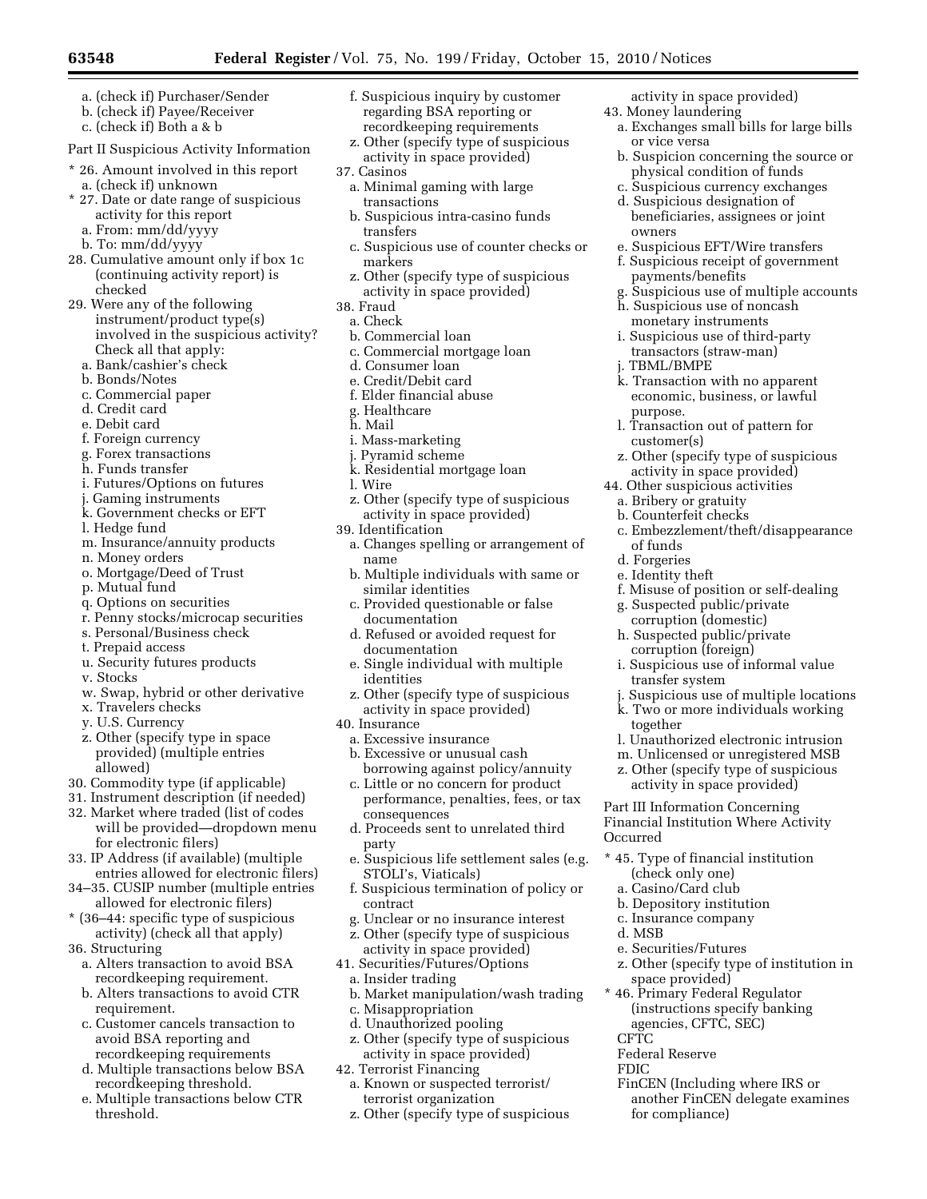- **63548 Federal Register** / Vol. 75, No. 199 / Friday, October 15, 2010 / Notices
	- a. (check if) Purchaser/Sender
	- b. (check if) Payee/Receiver
	- c. (check if) Both a & b

Part II Suspicious Activity Information

- \* 26. Amount involved in this report a. (check if) unknown
- 27. Date or date range of suspicious activity for this report
- a. From: mm/dd/yyyy
- b. To: mm/dd/yyyy
- 28. Cumulative amount only if box 1c (continuing activity report) is checked
- 29. Were any of the following instrument/product type(s) involved in the suspicious activity? Check all that apply:
	- a. Bank/cashier's check
	- b. Bonds/Notes
	- c. Commercial paper
	- d. Credit card
	- e. Debit card
	- f. Foreign currency
	- g. Forex transactions
	- h. Funds transfer
	- i. Futures/Options on futures
	- j. Gaming instruments
	- k. Government checks or EFT
	- l. Hedge fund
	- m. Insurance/annuity products
	- n. Money orders
	- o. Mortgage/Deed of Trust
	- p. Mutual fund
	- q. Options on securities
	- r. Penny stocks/microcap securities
	- s. Personal/Business check
	- t. Prepaid access
	- u. Security futures products
	- v. Stocks
	- w. Swap, hybrid or other derivative
	- x. Travelers checks
	- y. U.S. Currency
	- z. Other (specify type in space provided) (multiple entries allowed)
- 30. Commodity type (if applicable)
- 31. Instrument description (if needed)
- 32. Market where traded (list of codes will be provided—dropdown menu for electronic filers)
- 33. IP Address (if available) (multiple entries allowed for electronic filers)
- 34–35. CUSIP number (multiple entries allowed for electronic filers)
- \* (36–44: specific type of suspicious activity) (check all that apply)
- 36. Structuring
	- a. Alters transaction to avoid BSA recordkeeping requirement.
	- b. Alters transactions to avoid CTR requirement.
	- c. Customer cancels transaction to avoid BSA reporting and recordkeeping requirements
	- d. Multiple transactions below BSA recordkeeping threshold.
	- e. Multiple transactions below CTR threshold.
- f. Suspicious inquiry by customer regarding BSA reporting or recordkeeping requirements
- z. Other (specify type of suspicious activity in space provided)
- 37. Casinos
	- a. Minimal gaming with large transactions
	- b. Suspicious intra-casino funds transfers
	- c. Suspicious use of counter checks or markers
	- z. Other (specify type of suspicious activity in space provided)
- 38. Fraud
	- a. Check
	- b. Commercial loan
	- c. Commercial mortgage loan
	- d. Consumer loan
	- e. Credit/Debit card
	- f. Elder financial abuse
- g. Healthcare
- h. Mail
- i. Mass-marketing
- j. Pyramid scheme
- k. Residential mortgage loan
- l. Wire
- z. Other (specify type of suspicious activity in space provided)
- 39. Identification
	- a. Changes spelling or arrangement of name
	- b. Multiple individuals with same or similar identities
	- c. Provided questionable or false documentation
	- d. Refused or avoided request for documentation
	- e. Single individual with multiple identities
- z. Other (specify type of suspicious activity in space provided)
- 40. Insurance
- a. Excessive insurance b. Excessive or unusual cash
- borrowing against policy/annuity c. Little or no concern for product
- performance, penalties, fees, or tax consequences
- d. Proceeds sent to unrelated third party
- e. Suspicious life settlement sales (e.g. STOLI's, Viaticals)
- f. Suspicious termination of policy or contract
- g. Unclear or no insurance interest
- z. Other (specify type of suspicious
- activity in space provided) 41. Securities/Futures/Options
	- a. Insider trading
	- b. Market manipulation/wash trading
	- c. Misappropriation
	- d. Unauthorized pooling
	- z. Other (specify type of suspicious activity in space provided)
- 42. Terrorist Financing
	- a. Known or suspected terrorist/ terrorist organization
	- z. Other (specify type of suspicious

activity in space provided) 43. Money laundering

- a. Exchanges small bills for large bills or vice versa
- b. Suspicion concerning the source or physical condition of funds
- c. Suspicious currency exchanges d. Suspicious designation of

e. Suspicious EFT/Wire transfers f. Suspicious receipt of government

h. Suspicious use of noncash monetary instruments i. Suspicious use of third-party transactors (straw-man)

k. Transaction with no apparent economic, business, or lawful

l. Transaction out of pattern for

z. Other (specify type of suspicious activity in space provided) 44. Other suspicious activities a. Bribery or gratuity b. Counterfeit checks

c. Embezzlement/theft/disappearance

f. Misuse of position or self-dealing g. Suspected public/private corruption (domestic) h. Suspected public/private corruption (foreign)

i. Suspicious use of informal value

j. Suspicious use of multiple locations k. Two or more individuals working

l. Unauthorized electronic intrusion m. Unlicensed or unregistered MSB z. Other (specify type of suspicious activity in space provided) Part III Information Concerning Financial Institution Where Activity

\* 45. Type of financial institution

z. Other (specify type of institution in

FinCEN (Including where IRS or another FinCEN delegate examines

(check only one) a. Casino/Card club b. Depository institution c. Insurance company

e. Securities/Futures

space provided) \* 46. Primary Federal Regulator (instructions specify banking agencies, CFTC, SEC)

Federal Reserve

for compliance)

payments/benefits

owners

j. TBML/BMPE

purpose.

of funds d. Forgeries e. Identity theft

transfer system

together

Occurred

d. MSB

**CFTC** 

FDIC

customer(s)

beneficiaries, assignees or joint

g. Suspicious use of multiple accounts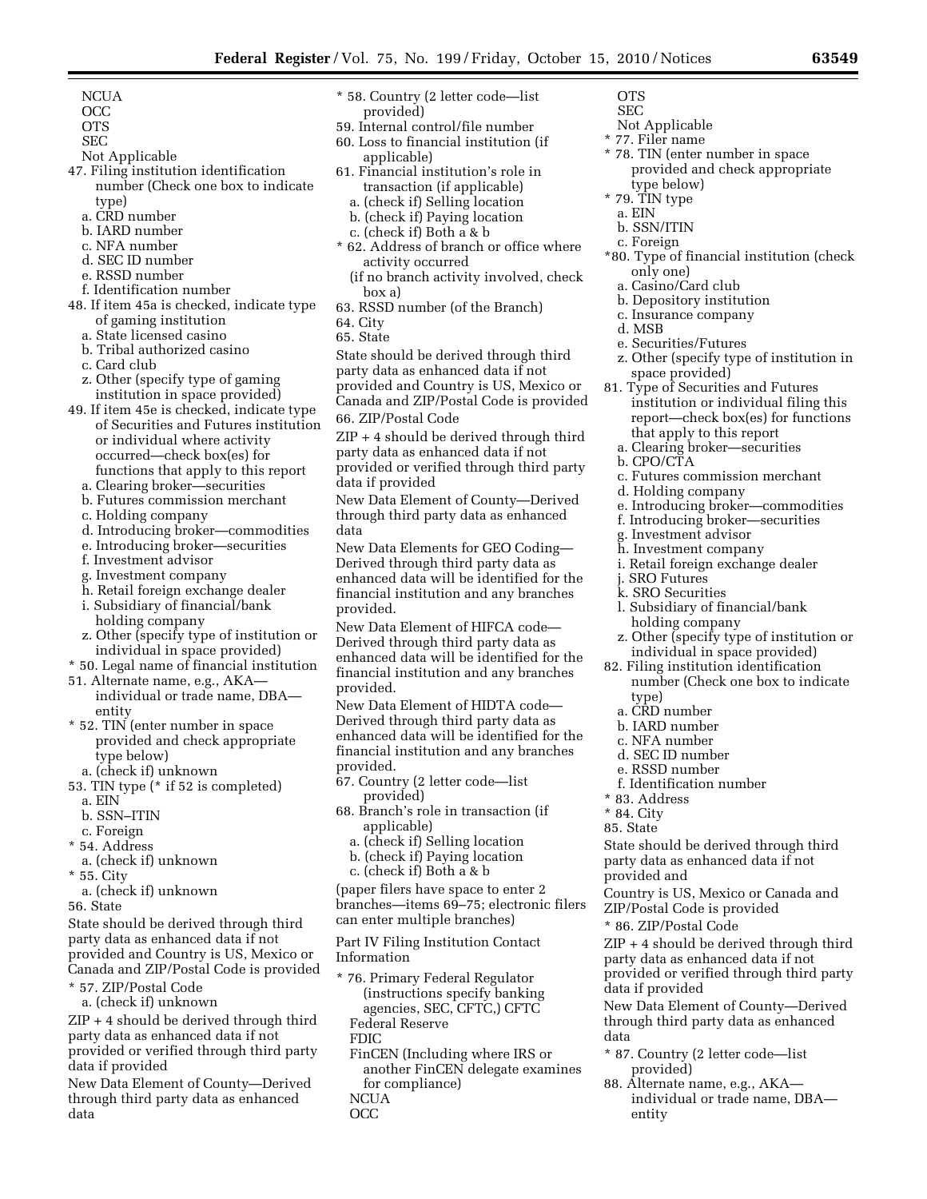- **NCUA**
- OCC
- OTS
- SEC
- Not Applicable
- 47. Filing institution identification number (Check one box to indicate
	- type)
	- a. CRD number
	- b. IARD number
	- c. NFA number
	- d. SEC ID number
	- e. RSSD number
	- f. Identification number
- 48. If item 45a is checked, indicate type of gaming institution
	- a. State licensed casino
	- b. Tribal authorized casino
	- c. Card club
	- z. Other (specify type of gaming institution in space provided)
- 49. If item 45e is checked, indicate type of Securities and Futures institution or individual where activity occurred—check box(es) for functions that apply to this report
	- a. Clearing broker—securities
	- b. Futures commission merchant
	- c. Holding company
	- d. Introducing broker—commodities
	- e. Introducing broker—securities
	- f. Investment advisor
	- g. Investment company
	- h. Retail foreign exchange dealer
	- i. Subsidiary of financial/bank holding company
	- z. Other (specify type of institution or individual in space provided)
- \* 50. Legal name of financial institution
- 51. Alternate name, e.g., AKA individual or trade name, DBA entity
- \* 52. TIN (enter number in space provided and check appropriate type below)
- a. (check if) unknown
- 53. TIN type (\* if 52 is completed)
	- a. EIN
	- b. SSN–ITIN
	- c. Foreign
- \* 54. Address a. (check if) unknown
- \* 55. City
- a. (check if) unknown
- 56. State

State should be derived through third party data as enhanced data if not provided and Country is US, Mexico or Canada and ZIP/Postal Code is provided

- \* 57. ZIP/Postal Code
- a. (check if) unknown

ZIP + 4 should be derived through third party data as enhanced data if not provided or verified through third party data if provided

New Data Element of County—Derived through third party data as enhanced data

- \* 58. Country (2 letter code—list provided)
- 59. Internal control/file number
- 60. Loss to financial institution (if applicable)
- 61. Financial institution's role in transaction (if applicable)
	- a. (check if) Selling location
	- b. (check if) Paying location
	- c. (check if) Both a & b
- \* 62. Address of branch or office where activity occurred
	- (if no branch activity involved, check box a)
- 63. RSSD number (of the Branch)
- 64. City
- 65. State

State should be derived through third party data as enhanced data if not provided and Country is US, Mexico or Canada and ZIP/Postal Code is provided 66. ZIP/Postal Code

ZIP + 4 should be derived through third party data as enhanced data if not provided or verified through third party data if provided

New Data Element of County—Derived through third party data as enhanced data

New Data Elements for GEO Coding— Derived through third party data as enhanced data will be identified for the financial institution and any branches provided.

New Data Element of HIFCA code— Derived through third party data as enhanced data will be identified for the financial institution and any branches provided.

New Data Element of HIDTA code— Derived through third party data as enhanced data will be identified for the financial institution and any branches provided.

- 67. Country (2 letter code—list provided)
- 68. Branch's role in transaction (if applicable)
	- a. (check if) Selling location
	- b. (check if) Paying location
	- c. (check if) Both a & b

(paper filers have space to enter 2 branches—items 69–75; electronic filers can enter multiple branches)

Part IV Filing Institution Contact Information

- \* 76. Primary Federal Regulator (instructions specify banking agencies, SEC, CFTC,) CFTC Federal Reserve
	- FDIC

FinCEN (Including where IRS or another FinCEN delegate examines for compliance)

- NCUA
- OCC
- **OTS**
- SEC
- Not Applicable \* 77. Filer name
- 
- \* 78. TIN (enter number in space provided and check appropriate type below)
- \* 79. TIN type
- a. EIN
- b. SSN/ITIN
- c. Foreign
- \*80. Type of financial institution (check only one)
	- a. Casino/Card club
	- b. Depository institution
	- c. Insurance company
	- d. MSB
	- e. Securities/Futures
	- z. Other (specify type of institution in space provided)
- 81. Type of Securities and Futures institution or individual filing this report—check box(es) for functions that apply to this report
	- a. Clearing broker—securities
- b. CPO/CTA
- c. Futures commission merchant

i. Retail foreign exchange dealer

l. Subsidiary of financial/bank

z. Other (specify type of institution or individual in space provided) 82. Filing institution identification

number (Check one box to indicate

State should be derived through third party data as enhanced data if not

Country is US, Mexico or Canada and

ZIP + 4 should be derived through third party data as enhanced data if not provided or verified through third party

New Data Element of County—Derived through third party data as enhanced

individual or trade name, DBA—

\* 87. Country (2 letter code—list

88. Alternate name, e.g., AKA—

ZIP/Postal Code is provided \* 86. ZIP/Postal Code

d. Holding company

g. Investment advisor h. Investment company

holding company

j. SRO Futures k. SRO Securities

type) a. CRD number b. IARD number c. NFA number d. SEC ID number e. RSSD number f. Identification number

\* 83. Address \* 84. City 85. State

provided and

data if provided

provided)

entity

data

e. Introducing broker—commodities f. Introducing broker—securities